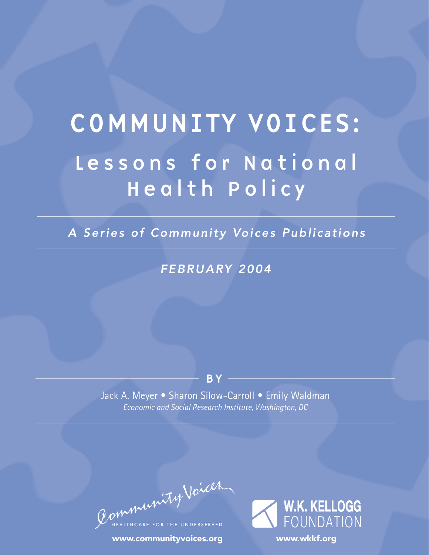# COMMUNITY VOICES: Lessons for National Health Policy

*A Series of Community Voices Publications*

# *FEBRUARY 2004*

# B Y

Jack A. Meyer • Sharon Silow-Carroll • Emily Waldman *Economic and Social Research Institute, Washington, DC*

Community Voices

www.communityvoices.org

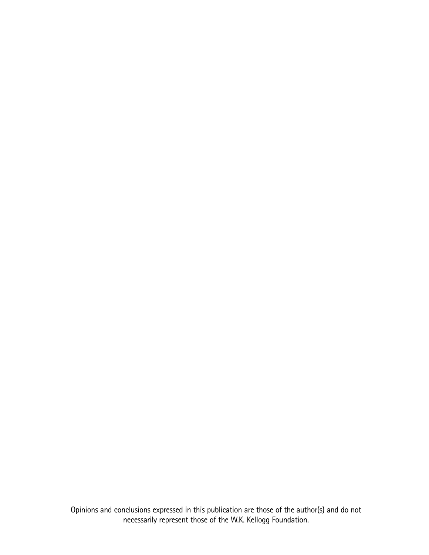Opinions and conclusions expressed in this publication are those of the author(s) and do not necessarily represent those of the W.K. Kellogg Foundation.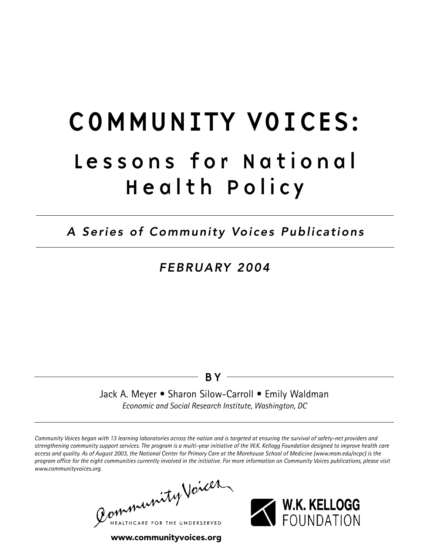# COMMUNITY VOICES: Lessons for National Health Policy

*A Series of Community Voices Publications*

# *FEBRUARY 2004*

# BY

Jack A. Meyer • Sharon Silow-Carroll • Emily Waldman *Economic and Social Research Institute, Washington, DC*

*Community Voices began with 13 learning laboratories across the nation and is targeted at ensuring the survival of safety-net providers and strengthening community support services. The program is a multi-year initiative of the W.K. Kellogg Foundation designed to improve health care access and quality. As of August 2003, the National Center for Primary Care at the Morehouse School of Medicine (www.msm.edu/ncpc) is the program office for the eight communities currently involved in the initiative. For more information on Community Voices publications, please visit www.communityvoices.org.*

Community Voices LTHCARE FOR THE UNDERSERVED



www.communityvoices.org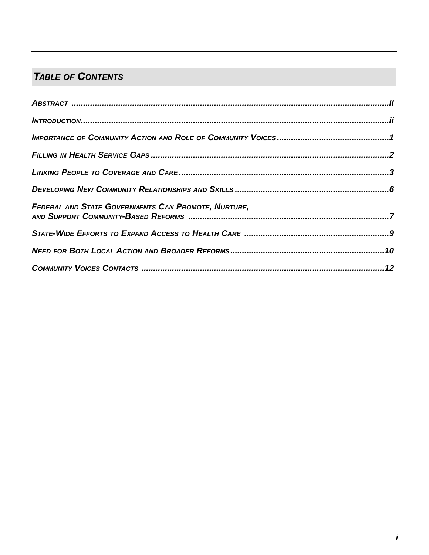# **TABLE OF CONTENTS**

| FEDERAL AND STATE GOVERNMENTS CAN PROMOTE, NURTURE, |  |
|-----------------------------------------------------|--|
|                                                     |  |
|                                                     |  |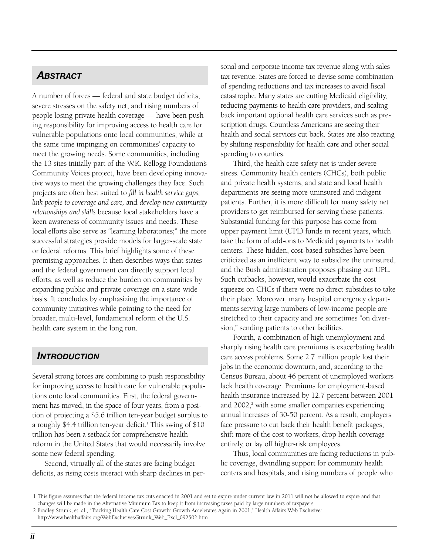# *ABSTRACT*

A number of forces — federal and state budget deficits, severe stresses on the safety net, and rising numbers of people losing private health coverage — have been pushing responsibility for improving access to health care for vulnerable populations onto local communities, while at the same time impinging on communities' capacity to meet the growing needs. Some communities, including the 13 sites initially part of the W.K. Kellogg Foundation's Community Voices project, have been developing innovative ways to meet the growing challenges they face. Such projects are often best suited to *fill in health service gaps, link people to coverage and care,* and *develop new community relationships and skills* because local stakeholders have a keen awareness of community issues and needs. These local efforts also serve as "learning laboratories;" the more successful strategies provide models for larger-scale state or federal reforms. This brief highlights some of these promising approaches. It then describes ways that states and the federal government can directly support local efforts, as well as reduce the burden on communities by expanding public and private coverage on a state-wide basis. It concludes by emphasizing the importance of community initiatives while pointing to the need for broader, multi-level, fundamental reform of the U.S. health care system in the long run.

# *INTRODUCTION*

Several strong forces are combining to push responsibility for improving access to health care for vulnerable populations onto local communities. First, the federal government has moved, in the space of four years, from a position of projecting a \$5.6 trillion ten-year budget surplus to a roughly \$4.4 trillion ten-year deficit.<sup>1</sup> This swing of  $$10$ trillion has been a setback for comprehensive health reform in the United States that would necessarily involve some new federal spending.

Second, virtually all of the states are facing budget deficits, as rising costs interact with sharp declines in personal and corporate income tax revenue along with sales tax revenue. States are forced to devise some combination of spending reductions and tax increases to avoid fiscal catastrophe. Many states are cutting Medicaid eligibility, reducing payments to health care providers, and scaling back important optional health care services such as prescription drugs. Countless Americans are seeing their health and social services cut back. States are also reacting by shifting responsibility for health care and other social spending to counties.

Third, the health care safety net is under severe stress. Community health centers (CHCs), both public and private health systems, and state and local health departments are seeing more uninsured and indigent patients. Further, it is more difficult for many safety net providers to get reimbursed for serving these patients. Substantial funding for this purpose has come from upper payment limit (UPL) funds in recent years, which take the form of add-ons to Medicaid payments to health centers. These hidden, cost-based subsidies have been criticized as an inefficient way to subsidize the uninsured, and the Bush administration proposes phasing out UPL. Such cutbacks, however, would exacerbate the cost squeeze on CHCs if there were no direct subsidies to take their place. Moreover, many hospital emergency departments serving large numbers of low-income people are stretched to their capacity and are sometimes "on diversion," sending patients to other facilities.

Fourth, a combination of high unemployment and sharply rising health care premiums is exacerbating health care access problems. Some 2.7 million people lost their jobs in the economic downturn, and, according to the Census Bureau, about 46 percent of unemployed workers lack health coverage. Premiums for employment-based health insurance increased by 12.7 percent between 2001 and 2002,<sup>2</sup> with some smaller companies experiencing annual increases of 30-50 percent. As a result, employers face pressure to cut back their health benefit packages, shift more of the cost to workers, drop health coverage entirely, or lay off higher-risk employees.

Thus, local communities are facing reductions in public coverage, dwindling support for community health centers and hospitals, and rising numbers of people who

<sup>1</sup> This figure assumes that the federal income tax cuts enacted in 2001 and set to expire under current law in 2011 will not be allowed to expire and that changes will be made in the Alternative Minimum Tax to keep it from increasing taxes paid by large numbers of taxpayers. 2 Bradley Strunk, et. al., "Tracking Health Care Cost Growth: Growth Accelerates Again in 2001," Health Affairs Web Exclusive:

http://www.healthaffairs.org/WebExclusives/Strunk\_Web\_Excl\_092502.htm.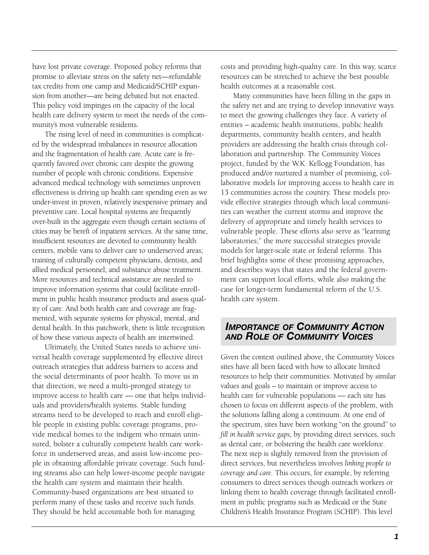have lost private coverage. Proposed policy reforms that promise to alleviate stress on the safety net—refundable tax credits from one camp and Medicaid/SCHIP expansion from another—are being debated but not enacted. This policy void impinges on the capacity of the local health care delivery system to meet the needs of the community's most vulnerable residents.

The rising level of need in communities is complicated by the widespread imbalances in resource allocation and the fragmentation of health care. Acute care is frequently favored over chronic care despite the growing number of people with chronic conditions. Expensive advanced medical technology with sometimes unproven effectiveness is driving up health care spending even as we under-invest in proven, relatively inexpensive primary and preventive care. Local hospital systems are frequently over-built in the aggregate even though certain sections of cities may be bereft of inpatient services. At the same time, insufficient resources are devoted to community health centers, mobile vans to deliver care to underserved areas; training of culturally competent physicians, dentists, and allied medical personnel; and substance abuse treatment. More resources and technical assistance are needed to improve information systems that could facilitate enrollment in public health insurance products and assess quality of care. And both health care and coverage are fragmented, with separate systems for physical, mental, and dental health. In this patchwork, there is little recognition of how these various aspects of health are intertwined.

Ultimately, the United States needs to achieve universal health coverage supplemented by effective direct outreach strategies that address barriers to access and the social determinants of poor health. To move us in that direction, we need a multi-pronged strategy to improve access to health care — one that helps individuals and providers/health systems. Stable funding streams need to be developed to reach and enroll eligible people in existing public coverage programs, provide medical homes to the indigent who remain uninsured, bolster a culturally competent health care workforce in underserved areas, and assist low-income people in obtaining affordable private coverage. Such funding streams also can help lower-income people navigate the health care system and maintain their health. Community-based organizations are best situated to perform many of these tasks and receive such funds. They should be held accountable both for managing

costs and providing high-quality care. In this way, scarce resources can be stretched to achieve the best possible health outcomes at a reasonable cost.

Many communities have been filling in the gaps in the safety net and are trying to develop innovative ways to meet the growing challenges they face. A variety of entities – academic health institutions, public health departments, community health centers, and health providers are addressing the health crisis through collaboration and partnership. The Community Voices project, funded by the W.K. Kellogg Foundation, has produced and/or nurtured a number of promising, collaborative models for improving access to health care in 13 communities across the country. These models provide effective strategies through which local communities can weather the current storms and improve the delivery of appropriate and timely health services to vulnerable people. These efforts also serve as "learning laboratories;" the more successful strategies provide models for larger-scale state or federal reforms. This brief highlights some of these promising approaches, and describes ways that states and the federal government can support local efforts, while also making the case for longer-term fundamental reform of the U.S. health care system.

#### *IMPORTANCE OF COMMUNITY ACTION AND ROLE OF COMMUNITY VOICES*

Given the context outlined above, the Community Voices sites have all been faced with how to allocate limited resources to help their communities. Motivated by similar values and goals – to maintain or improve access to health care for vulnerable populations — each site has chosen to focus on different aspects of the problem, with the solutions falling along a continuum. At one end of the spectrum, sites have been working "on the ground" to *fill in health service gaps,* by providing direct services, such as dental care, or bolstering the health care workforce. The next step is slightly removed from the provision of direct services, but nevertheless involves *linking people to coverage and care.* This occurs, for example, by referring consumers to direct services though outreach workers or linking them to health coverage through facilitated enrollment in public programs such as Medicaid or the State Children's Health Insurance Program (SCHIP). This level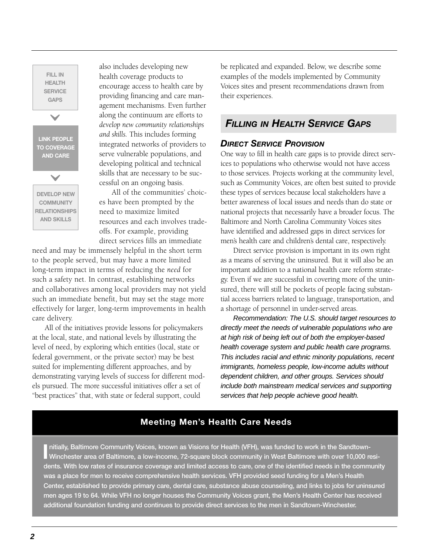**FILL IN HEALTH SERVICE GAPS LINK PEOPLE TO COVERAGE AND CARE DEVELOP NEW COMMUNITY RELATIONSHIPS AND SKILLS**  $\overline{\checkmark}$  $\overline{\checkmark}$ 

also includes developing new health coverage products to encourage access to health care by providing financing and care management mechanisms. Even further along the continuum are efforts to *develop new community relationships and skills.* This includes forming integrated networks of providers to serve vulnerable populations, and developing political and technical skills that are necessary to be successful on an ongoing basis.

All of the communities' choices have been prompted by the need to maximize limited resources and each involves tradeoffs. For example, providing direct services fills an immediate

need and may be immensely helpful in the short term to the people served, but may have a more limited long-term impact in terms of reducing the *need* for such a safety net. In contrast, establishing networks and collaboratives among local providers may not yield such an immediate benefit, but may set the stage more effectively for larger, long-term improvements in health care delivery.

All of the initiatives provide lessons for policymakers at the local, state, and national levels by illustrating the level of need, by exploring which entities (local, state or federal government, or the private sector) may be best suited for implementing different approaches, and by demonstrating varying levels of success for different models pursued. The more successful initiatives offer a set of "best practices" that, with state or federal support, could

be replicated and expanded. Below, we describe some examples of the models implemented by Community Voices sites and present recommendations drawn from their experiences.

# *FILLING IN HEALTH SERVICE GAPS*

#### *DIRECT SERVICE PROVISION*

One way to fill in health care gaps is to provide direct services to populations who otherwise would not have access to those services. Projects working at the community level, such as Community Voices, are often best suited to provide these types of services because local stakeholders have a better awareness of local issues and needs than do state or national projects that necessarily have a broader focus. The Baltimore and North Carolina Community Voices sites have identified and addressed gaps in direct services for men's health care and children's dental care, respectively.

Direct service provision is important in its own right as a means of serving the uninsured. But it will also be an important addition to a national health care reform strategy. Even if we are successful in covering more of the uninsured, there will still be pockets of people facing substantial access barriers related to language, transportation, and a shortage of personnel in under-served areas.

Recommendation: The U.S. should target resources to directly meet the needs of vulnerable populations who are at high risk of being left out of both the employer-based health coverage system and public health care programs. This includes racial and ethnic minority populations, recent immigrants, homeless people, low-income adults without dependent children, and other groups. Services should include both mainstream medical services and supporting services that help people achieve good health.

### **Meeting Men's Health Care Needs**

Initially, Baltimore Community Voices, known as Visions for Health (VFH), was funded to work in the Sandtown-<br>Winchester area of Baltimore, a low-income, 72-square block community in West Baltimore with over 10,000 resi**nitially, Baltimore Community Voices, known as Visions for Health (VFH), was funded to work in the Sandtowndents. With low rates of insurance coverage and limited access to care, one of the identified needs in the community was a place for men to receive comprehensive health services. VFH provided seed funding for a Men's Health Center, established to provide primary care, dental care, substance abuse counseling, and links to jobs for uninsured men ages 19 to 64. While VFH no longer houses the Community Voices grant, the Men's Health Center has received additional foundation funding and continues to provide direct services to the men in Sandtown-Winchester.**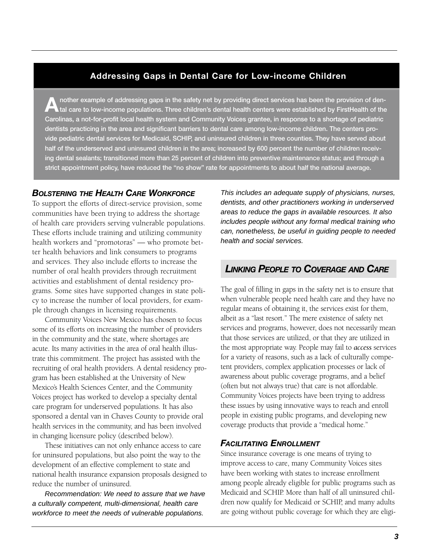#### **Addressing Gaps in Dental Care for Low-income Children**

**Another example of addressing gaps in the safety net by providing direct services has been the provision of dental care to low-income populations. Three children's dental health centers were established by FirstHealth of the Carolinas, a not-for-profit local health system and Community Voices grantee, in response to a shortage of pediatric dentists practicing in the area and significant barriers to dental care among low-income children. The centers provide pediatric dental services for Medicaid, SCHIP, and uninsured children in three counties. They have served about half of the underserved and uninsured children in the area; increased by 600 percent the number of children receiving dental sealants; transitioned more than 25 percent of children into preventive maintenance status; and through a strict appointment policy, have reduced the "no show" rate for appointments to about half the national average.** 

#### *BOLSTERING THE HEALTH CARE WORKFORCE*

To support the efforts of direct-service provision, some communities have been trying to address the shortage of health care providers serving vulnerable populations. These efforts include training and utilizing community health workers and "promotoras" — who promote better health behaviors and link consumers to programs and services. They also include efforts to increase the number of oral health providers through recruitment activities and establishment of dental residency programs. Some sites have supported changes in state policy to increase the number of local providers, for example through changes in licensing requirements.

Community Voices New Mexico has chosen to focus some of its efforts on increasing the number of providers in the community and the state, where shortages are acute. Its many activities in the area of oral health illustrate this commitment. The project has assisted with the recruiting of oral health providers. A dental residency program has been established at the University of New Mexico's Health Sciences Center, and the Community Voices project has worked to develop a specialty dental care program for underserved populations. It has also sponsored a dental van in Chaves County to provide oral health services in the community, and has been involved in changing licensure policy (described below).

These initiatives can not only enhance access to care for uninsured populations, but also point the way to the development of an effective complement to state and national health insurance expansion proposals designed to reduce the number of uninsured.

Recommendation: We need to assure that we have a culturally competent, multi-dimensional, health care workforce to meet the needs of vulnerable populations.

This includes an adequate supply of physicians, nurses, dentists, and other practitioners working in underserved areas to reduce the gaps in available resources. It also includes people without any formal medical training who can, nonetheless, be useful in guiding people to needed health and social services.

# *LINKING PEOPLE TO COVERAGE AND CARE*

The goal of filling in gaps in the safety net is to ensure that when vulnerable people need health care and they have no regular means of obtaining it, the services exist for them, albeit as a "last resort." The mere existence of safety net services and programs, however, does not necessarily mean that those services are utilized, or that they are utilized in the most appropriate way. People may fail to *access* services for a variety of reasons, such as a lack of culturally competent providers, complex application processes or lack of awareness about public coverage programs, and a belief (often but not always true) that care is not affordable. Community Voices projects have been trying to address these issues by using innovative ways to reach and enroll people in existing public programs, and developing new coverage products that provide a "medical home."

#### *FACILITATING ENROLLMENT*

Since insurance coverage is one means of trying to improve access to care, many Community Voices sites have been working with states to increase enrollment among people already eligible for public programs such as Medicaid and SCHIP. More than half of all uninsured children now qualify for Medicaid or SCHIP, and many adults are going without public coverage for which they are eligi-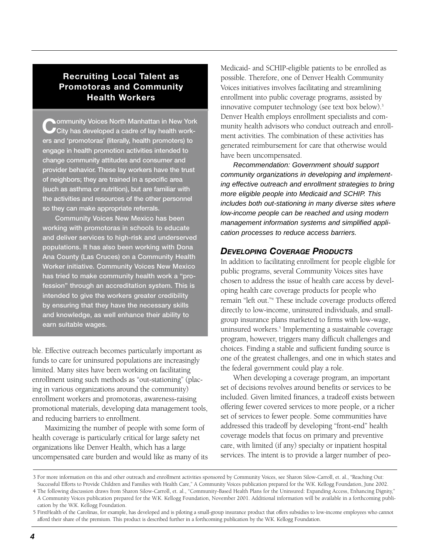## **Recruiting Local Talent as Promotoras and Community Health Workers**

**C** ommunity Voices North Manhattan in New York<br>
City has developed a cadre of lay health work**ers and 'promotoras' (literally, health promoters) to engage in health promotion activities intended to change community attitudes and consumer and provider behavior. These lay workers have the trust of neighbors; they are trained in a specific area (such as asthma or nutrition), but are familiar with the activities and resources of the other personnel so they can make appropriate referrals.**

**Community Voices New Mexico has been working with promotoras in schools to educate and deliver services to high-risk and underserved populations. It has also been working with Dona Ana County (Las Cruces) on a Community Health Worker initiative. Community Voices New Mexico has tried to make community health work a "profession" through an accreditation system. This is intended to give the workers greater credibility by ensuring that they have the necessary skills and knowledge, as well enhance their ability to earn suitable wages.**

ble. Effective outreach becomes particularly important as funds to care for uninsured populations are increasingly limited. Many sites have been working on facilitating enrollment using such methods as "out-stationing" (placing in various organizations around the community) enrollment workers and promotoras, awareness-raising promotional materials, developing data management tools, and reducing barriers to enrollment.

Maximizing the number of people with some form of health coverage is particularly critical for large safety net organizations like Denver Health, which has a large uncompensated care burden and would like as many of its Medicaid- and SCHIP-eligible patients to be enrolled as possible. Therefore, one of Denver Health Community Voices initiatives involves facilitating and streamlining enrollment into public coverage programs, assisted by innovative computer technology (see text box below).3 Denver Health employs enrollment specialists and community health advisors who conduct outreach and enrollment activities. The combination of these activities has generated reimbursement for care that otherwise would have been uncompensated.

Recommendation: Government should support community organizations in developing and implementing effective outreach and enrollment strategies to bring more eligible people into Medicaid and SCHIP. This includes both out-stationing in many diverse sites where low-income people can be reached and using modern management information systems and simplified application processes to reduce access barriers.

#### *DEVELOPING COVERAGE PRODUCTS*

In addition to facilitating enrollment for people eligible for public programs, several Community Voices sites have chosen to address the issue of health care access by developing health care coverage products for people who remain "left out."4 These include coverage products offered directly to low-income, uninsured individuals, and smallgroup insurance plans marketed to firms with low-wage, uninsured workers.<sup>5</sup> Implementing a sustainable coverage program, however, triggers many difficult challenges and choices. Finding a stable and sufficient funding source is one of the greatest challenges, and one in which states and the federal government could play a role.

When developing a coverage program, an important set of decisions revolves around benefits or services to be included. Given limited finances, a tradeoff exists between offering fewer covered services to more people, or a richer set of services to fewer people. Some communities have addressed this tradeoff by developing "front-end" health coverage models that focus on primary and preventive care, with limited (if any) specialty or inpatient hospital services. The intent is to provide a larger number of peo-

<sup>3</sup> For more information on this and other outreach and enrollment activities sponsored by Community Voices, see Sharon Silow-Carroll, et. al., "Reaching Out: Successful Efforts to Provide Children and Families with Health Care," A Community Voices publication prepared for the W.K. Kellogg Foundation, June 2002.

<sup>4</sup> The following discussion draws from Sharon Silow-Carroll, et. al., "Community-Based Health Plans for the Uninsured: Expanding Access, Enhancing Dignity," A Community Voices publication prepared for the W.K. Kellogg Foundation, November 2001. Additional information will be available in a forthcoming publication by the W.K. Kellogg Foundation.

<sup>5</sup> FirstHealth of the Carolinas, for example, has developed and is piloting a small-group insurance product that offers subsidies to low-income employees who cannot afford their share of the premium. This product is described further in a forthcoming publication by the W.K. Kellogg Foundation.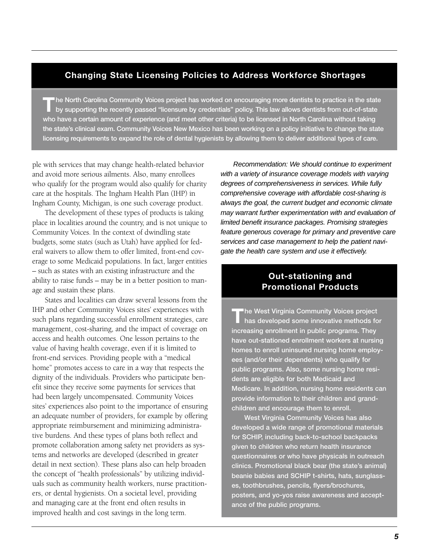#### **Changing State Licensing Policies to Address Workforce Shortages**

The North Carolina Community Voices project has worked on encouraging more dentists to practice in the state<br>by supporting the recently passed "licensure by credentials" policy. This law allows dentists from out-of-state **who have a certain amount of experience (and meet other criteria) to be licensed in North Carolina without taking the state's clinical exam. Community Voices New Mexico has been working on a policy initiative to change the state licensing requirements to expand the role of dental hygienists by allowing them to deliver additional types of care.** 

ple with services that may change health-related behavior and avoid more serious ailments. Also, many enrollees who qualify for the program would also qualify for charity care at the hospitals. The Ingham Health Plan (IHP) in Ingham County, Michigan, is one such coverage product.

The development of these types of products is taking place in localities around the country, and is not unique to Community Voices. In the context of dwindling state budgets, some *states* (such as Utah) have applied for federal waivers to allow them to offer limited, front-end coverage to some Medicaid populations. In fact, larger entities – such as states with an existing infrastructure and the ability to raise funds – may be in a better position to manage and sustain these plans.

States and localities can draw several lessons from the IHP and other Community Voices sites' experiences with such plans regarding successful enrollment strategies, care management, cost-sharing, and the impact of coverage on access and health outcomes. One lesson pertains to the value of having health coverage, even if it is limited to front-end services. Providing people with a "medical home" promotes access to care in a way that respects the dignity of the individuals. Providers who participate benefit since they receive some payments for services that had been largely uncompensated. Community Voices sites' experiences also point to the importance of ensuring an adequate number of providers, for example by offering appropriate reimbursement and minimizing administrative burdens. And these types of plans both reflect and promote collaboration among safety net providers as systems and networks are developed (described in greater detail in next section). These plans also can help broaden the concept of "health professionals" by utilizing individuals such as community health workers, nurse practitioners, or dental hygienists. On a societal level, providing and managing care at the front end often results in improved health and cost savings in the long term.

Recommendation: We should continue to experiment with a variety of insurance coverage models with varying degrees of comprehensiveness in services. While fully comprehensive coverage with affordable cost-sharing is always the goal, the current budget and economic climate may warrant further experimentation with and evaluation of limited benefit insurance packages. Promising strategies feature generous coverage for primary and preventive care services and case management to help the patient navigate the health care system and use it effectively.

### **Out-stationing and Promotional Products**

**The West Virginia Community Voices project has developed some innovative methods for increasing enrollment in public programs. They have out-stationed enrollment workers at nursing homes to enroll uninsured nursing home employees (and/or their dependents) who qualify for public programs. Also, some nursing home residents are eligible for both Medicaid and Medicare. In addition, nursing home residents can provide information to their children and grandchildren and encourage them to enroll.** 

**West Virginia Community Voices has also developed a wide range of promotional materials for SCHIP, including back-to-school backpacks given to children who return health insurance questionnaires or who have physicals in outreach clinics. Promotional black bear (the state's animal) beanie babies and SCHIP t-shirts, hats, sunglasses, toothbrushes, pencils, flyers/brochures, posters, and yo-yos raise awareness and acceptance of the public programs.**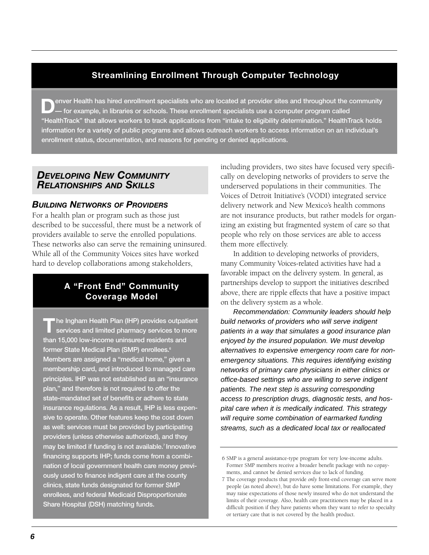## **Streamlining Enrollment Through Computer Technology**

**Denver Health has hired enrollment specialists who are located at provider sites and throughout the community — for example, in libraries or schools. These enrollment specialists use a computer program called "HealthTrack" that allows workers to track applications from "intake to eligibility determination." HealthTrack holds information for a variety of public programs and allows outreach workers to access information on an individual's enrollment status, documentation, and reasons for pending or denied applications.** 

# *DEVELOPING NEW COMMUNITY RELATIONSHIPS AND SKILLS*

#### *BUILDING NETWORKS OF PROVIDERS*

For a health plan or program such as those just described to be successful, there must be a network of providers available to serve the enrolled populations. These networks also can serve the remaining uninsured. While all of the Community Voices sites have worked hard to develop collaborations among stakeholders,

### **A "Front End" Community Coverage Model**

**The Ingham Health Plan (IHP) provides outpatient services and limited pharmacy services to more than 15,000 low-income uninsured residents and former State Medical Plan (SMP) enrollees.6 Members are assigned a "medical home," given a membership card, and introduced to managed care principles. IHP was not established as an "insurance plan," and therefore is not required to offer the state-mandated set of benefits or adhere to state insurance regulations. As a result, IHP is less expensive to operate. Other features keep the cost down as well: services must be provided by participating providers (unless otherwise authorized), and they may be limited if funding is not available.7 Innovative financing supports IHP; funds come from a combination of local government health care money previously used to finance indigent care at the county clinics, state funds designated for former SMP enrollees, and federal Medicaid Disproportionate Share Hospital (DSH) matching funds.** 

including providers, two sites have focused very specifically on developing networks of providers to serve the underserved populations in their communities. The Voices of Detroit Initiative's (VODI) integrated service delivery network and New Mexico's health commons are not insurance products, but rather models for organizing an existing but fragmented system of care so that people who rely on those services are able to access them more effectively.

In addition to developing networks of providers, many Community Voices-related activities have had a favorable impact on the delivery system. In general, as partnerships develop to support the initiatives described above, there are ripple effects that have a positive impact on the delivery system as a whole.

Recommendation: Community leaders should help build networks of providers who will serve indigent patients in a way that simulates a good insurance plan enjoyed by the insured population. We must develop alternatives to expensive emergency room care for nonemergency situations. This requires identifying existing networks of primary care physicians in either clinics or office-based settings who are willing to serve indigent patients. The next step is assuring corresponding access to prescription drugs, diagnostic tests, and hospital care when it is medically indicated. This strategy will require some combination of earmarked funding streams, such as a dedicated local tax or reallocated

<sup>6</sup> SMP is a general assistance-type program for very low-income adults. Former SMP members receive a broader benefit package with no copayments, and cannot be denied services due to lack of funding.

<sup>7</sup> The coverage products that provide *only* front-end coverage can serve more people (as noted above), but do have some limitations. For example, they may raise expectations of those newly insured who do not understand the limits of their coverage. Also, health care practitioners may be placed in a difficult position if they have patients whom they want to refer to specialty or tertiary care that is not covered by the health product.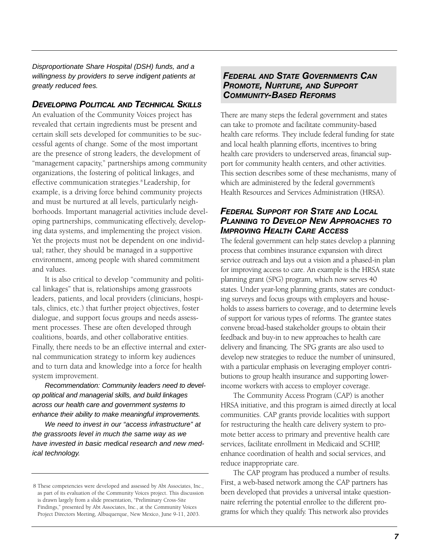Disproportionate Share Hospital (DSH) funds, and a willingness by providers to serve indigent patients at greatly reduced fees.

#### *DEVELOPING POLITICAL AND TECHNICAL SKILLS*

An evaluation of the Community Voices project has revealed that certain ingredients must be present and certain skill sets developed for communities to be successful agents of change. Some of the most important are the presence of strong leaders, the development of "management capacity," partnerships among community organizations, the fostering of political linkages, and effective communication strategies.<sup>8</sup> Leadership, for example, is a driving force behind community projects and must be nurtured at all levels, particularly neighborhoods. Important managerial activities include developing partnerships, communicating effectively, developing data systems, and implementing the project vision. Yet the projects must not be dependent on one individual; rather, they should be managed in a supportive environment, among people with shared commitment and values.

It is also critical to develop "community and political linkages" that is, relationships among grassroots leaders, patients, and local providers (clinicians, hospitals, clinics, etc.) that further project objectives, foster dialogue, and support focus groups and needs assessment processes. These are often developed through coalitions, boards, and other collaborative entities. Finally, there needs to be an effective internal and external communication strategy to inform key audiences and to turn data and knowledge into a force for health system improvement.

Recommendation: Community leaders need to develop political and managerial skills, and build linkages across our health care and government systems to enhance their ability to make meaningful improvements.

We need to invest in our "access infrastructure" at the grassroots level in much the same way as we have invested in basic medical research and new medical technology.

#### *FEDERAL AND STATE GOVERNMENTS CAN PROMOTE, NURTURE, AND SUPPORT COMMUNITY-BASED REFORMS*

There are many steps the federal government and states can take to promote and facilitate community-based health care reforms. They include federal funding for state and local health planning efforts, incentives to bring health care providers to underserved areas, financial support for community health centers, and other activities. This section describes some of these mechanisms, many of which are administered by the federal government's Health Resources and Services Administration (HRSA).

#### *FEDERAL SUPPORT FOR STATE AND LOCAL PLANNING TO DEVELOP NEW APPROACHES TO IMPROVING HEALTH CARE ACCESS*

The federal government can help states develop a planning process that combines insurance expansion with direct service outreach and lays out a vision and a phased-in plan for improving access to care. An example is the HRSA state planning grant (SPG) program, which now serves 40 states. Under year-long planning grants, states are conducting surveys and focus groups with employers and households to assess barriers to coverage, and to determine levels of support for various types of reforms. The grantee states convene broad-based stakeholder groups to obtain their feedback and buy-in to new approaches to health care delivery and financing. The SPG grants are also used to develop new strategies to reduce the number of uninsured, with a particular emphasis on leveraging employer contributions to group health insurance and supporting lowerincome workers with access to employer coverage.

The Community Access Program (CAP) is another HRSA initiative, and this program is aimed directly at local communities. CAP grants provide localities with support for restructuring the health care delivery system to promote better access to primary and preventive health care services, facilitate enrollment in Medicaid and SCHIP, enhance coordination of health and social services, and reduce inappropriate care.

The CAP program has produced a number of results. First, a web-based network among the CAP partners has been developed that provides a universal intake questionnaire referring the potential enrollee to the different programs for which they qualify. This network also provides

<sup>8</sup> These competencies were developed and assessed by Abt Associates, Inc., as part of its evaluation of the Community Voices project. This discussion is drawn largely from a slide presentation, "Preliminary Cross-Site Findings," presented by Abt Associates, Inc., at the Community Voices Project Directors Meeting, Albuquerque, New Mexico, June 9-11, 2003.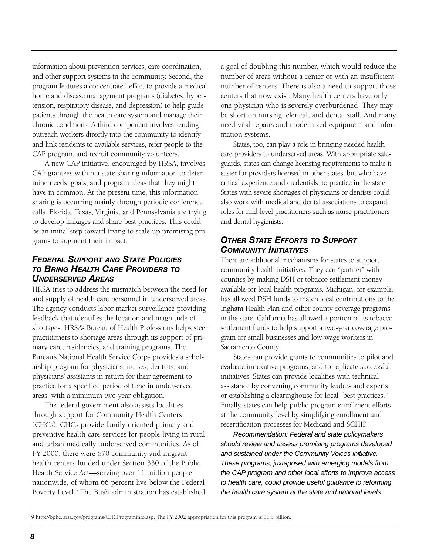information about prevention services, care coordination, and other support systems in the community. Second, the program features a concentrated effort to provide a medical home and disease management programs (diabetes, hypertension, respiratory disease, and depression) to help guide patients through the health care system and manage their chronic conditions. A third component involves sending outreach workers directly into the community to identify and link residents to available services, refer people to the CAP program, and recruit community volunteers.

A new CAP initiative, encouraged by HRSA, involves CAP grantees within a state sharing information to determine needs, goals, and program ideas that they might have in common. At the present time, this information sharing is occurring mainly through periodic conference calls. Florida, Texas, Virginia, and Pennsylvania are trying to develop linkages and share best practices. This could be an initial step toward trying to scale up promising programs to augment their impact.

#### *FEDERAL SUPPORT AND STATE POLICIES TO BRING HEALTH CARE PROVIDERS TO UNDERSERVED AREAS*

HRSA tries to address the mismatch between the need for and supply of health care personnel in underserved areas. The agency conducts labor market surveillance providing feedback that identifies the location and magnitude of shortages. HRSA's Bureau of Health Professions helps steer practitioners to shortage areas through its support of primary care, residencies, and training programs. The Bureau's National Health Service Corps provides a scholarship program for physicians, nurses, dentists, and physicians' assistants in return for their agreement to practice for a specified period of time in underserved areas, with a minimum two-year obligation.

The federal government also assists localities through support for Community Health Centers (CHCs). CHCs provide family-oriented primary and preventive health care services for people living in rural and urban medically underserved communities. As of FY 2000, there were 670 community and migrant health centers funded under Section 330 of the Public Health Service Act—serving over 11 million people nationwide, of whom 66 percent live below the Federal Poverty Level.<sup>9</sup> The Bush administration has established a goal of doubling this number, which would reduce the number of areas without a center or with an insufficient number of centers. There is also a need to support those centers that now exist. Many health centers have only one physician who is severely overburdened. They may be short on nursing, clerical, and dental staff. And many need vital repairs and modernized equipment and information systems.

States, too, can play a role in bringing needed health care providers to underserved areas. With appropriate safeguards, states can change licensing requirements to make it easier for providers licensed in other states, but who have critical experience and credentials, to practice in the state. States with severe shortages of physicians or dentists could also work with medical and dental associations to expand roles for mid-level practitioners such as nurse practitioners and dental hygienists.

#### *OTHER STATE EFFORTS TO SUPPORT COMMUNITY INITIATIVES*

There are additional mechanisms for states to support community health initiatives. They can "partner" with counties by making DSH or tobacco settlement money available for local health programs. Michigan, for example, has allowed DSH funds to match local contributions to the Ingham Health Plan and other county coverage programs in the state. California has allowed a portion of its tobacco settlement funds to help support a two-year coverage program for small businesses and low-wage workers in Sacramento County.

States can provide grants to communities to pilot and evaluate innovative programs, and to replicate successful initiatives. States can provide localities with technical assistance by convening community leaders and experts, or establishing a clearinghouse for local "best practices." Finally, states can help public program enrollment efforts at the community level by simplifying enrollment and recertification processes for Medicaid and SCHIP.

Recommendation: Federal and state policymakers should review and assess promising programs developed and sustained under the Community Voices initiative. These programs, juxtaposed with emerging models from the CAP program and other local efforts to improve access to health care, could provide useful guidance to reforming the health care system at the state and national levels.

<sup>9</sup> http://bphc.hrsa.gov/programs/CHCPrograminfo.asp. The FY 2002 appropriation for this program is \$1.3 billion.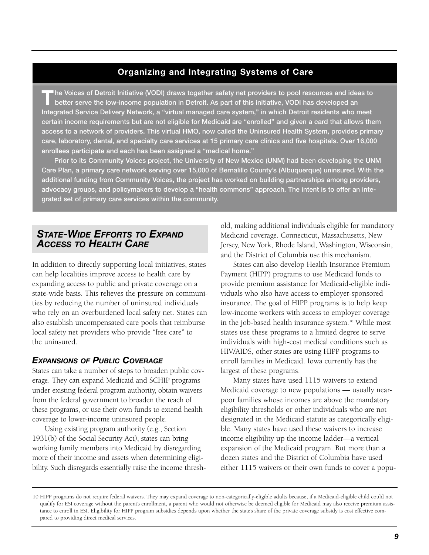# **Organizing and Integrating Systems of Care**

**The Voices of Detroit Initiative (VODI) draws together safety net providers to pool resources and ideas to better serve the low-income population in Detroit. As part of this initiative, VODI has developed an Integrated Service Delivery Network, a "virtual managed care system," in which Detroit residents who meet certain income requirements but are not eligible for Medicaid are "enrolled" and given a card that allows them access to a network of providers. This virtual HMO, now called the Uninsured Health System, provides primary care, laboratory, dental, and specialty care services at 15 primary care clinics and five hospitals. Over 16,000 enrollees participate and each has been assigned a "medical home."**

**Prior to its Community Voices project, the University of New Mexico (UNM) had been developing the UNM Care Plan, a primary care network serving over 15,000 of Bernalillo County's (Albuquerque) uninsured. With the additional funding from Community Voices, the project has worked on building partnerships among providers, advocacy groups, and policymakers to develop a "health commons" approach. The intent is to offer an integrated set of primary care services within the community.** 

# *STATE-WIDE EFFORTS TO EXPAND ACCESS TO HEALTH CARE*

In addition to directly supporting local initiatives, states can help localities improve access to health care by expanding access to public and private coverage on a state-wide basis. This relieves the pressure on communities by reducing the number of uninsured individuals who rely on an overburdened local safety net. States can also establish uncompensated care pools that reimburse local safety net providers who provide "free care" to the uninsured.

#### *EXPANSIONS OF PUBLIC COVERAGE*

States can take a number of steps to broaden public coverage. They can expand Medicaid and SCHIP programs under existing federal program authority, obtain waivers from the federal government to broaden the reach of these programs, or use their own funds to extend health coverage to lower-income uninsured people.

Using existing program authority (e.g., Section 1931(b) of the Social Security Act), states can bring working family members into Medicaid by disregarding more of their income and assets when determining eligibility. Such disregards essentially raise the income threshold, making additional individuals eligible for mandatory Medicaid coverage. Connecticut, Massachusetts, New Jersey, New York, Rhode Island, Washington, Wisconsin, and the District of Columbia use this mechanism.

States can also develop Health Insurance Premium Payment (HIPP) programs to use Medicaid funds to provide premium assistance for Medicaid-eligible individuals who also have access to employer-sponsored insurance. The goal of HIPP programs is to help keep low-income workers with access to employer coverage in the job-based health insurance system.10 While most states use these programs to a limited degree to serve individuals with high-cost medical conditions such as HIV/AIDS, other states are using HIPP programs to enroll families in Medicaid. Iowa currently has the largest of these programs.

Many states have used 1115 waivers to extend Medicaid coverage to new populations — usually nearpoor families whose incomes are above the mandatory eligibility thresholds or other individuals who are not designated in the Medicaid statute as categorically eligible. Many states have used these waivers to increase income eligibility up the income ladder—a vertical expansion of the Medicaid program. But more than a dozen states and the District of Columbia have used either 1115 waivers or their own funds to cover a popu-

<sup>10</sup> HIPP programs do not require federal waivers. They may expand coverage to non-categorically-eligible adults because, if a Medicaid-eligible child could not qualify for ESI coverage without the parent's enrollment, a parent who would not otherwise be deemed eligible for Medicaid may also receive premium assistance to enroll in ESI. Eligibility for HIPP program subsidies depends upon whether the state's share of the private coverage subsidy is cost effective compared to providing direct medical services.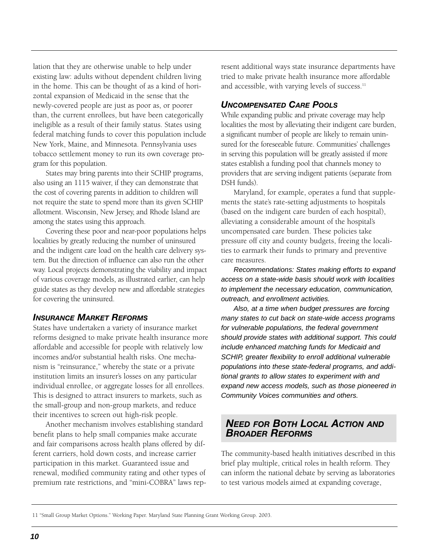lation that they are otherwise unable to help under existing law: adults without dependent children living in the home. This can be thought of as a kind of horizontal expansion of Medicaid in the sense that the newly-covered people are just as poor as, or poorer than, the current enrollees, but have been categorically ineligible as a result of their family status. States using federal matching funds to cover this population include New York, Maine, and Minnesota. Pennsylvania uses tobacco settlement money to run its own coverage program for this population.

States may bring parents into their SCHIP programs, also using an 1115 waiver, if they can demonstrate that the cost of covering parents in addition to children will not require the state to spend more than its given SCHIP allotment. Wisconsin, New Jersey, and Rhode Island are among the states using this approach.

Covering these poor and near-poor populations helps localities by greatly reducing the number of uninsured and the indigent care load on the health care delivery system. But the direction of influence can also run the other way. Local projects demonstrating the viability and impact of various coverage models, as illustrated earlier, can help guide states as they develop new and affordable strategies for covering the uninsured.

#### *INSURANCE MARKET REFORMS*

States have undertaken a variety of insurance market reforms designed to make private health insurance more affordable and accessible for people with relatively low incomes and/or substantial health risks. One mechanism is "reinsurance," whereby the state or a private institution limits an insurer's losses on any particular individual enrollee, or aggregate losses for all enrollees. This is designed to attract insurers to markets, such as the small-group and non-group markets, and reduce their incentives to screen out high-risk people.

Another mechanism involves establishing standard benefit plans to help small companies make accurate and fair comparisons across health plans offered by different carriers, hold down costs, and increase carrier participation in this market. Guaranteed issue and renewal, modified community rating and other types of premium rate restrictions, and "mini-COBRA" laws rep-

resent additional ways state insurance departments have tried to make private health insurance more affordable and accessible, with varying levels of success.<sup>11</sup>

#### *UNCOMPENSATED CARE POOLS*

While expanding public and private coverage may help localities the most by alleviating their indigent care burden, a significant number of people are likely to remain uninsured for the foreseeable future. Communities' challenges in serving this population will be greatly assisted if more states establish a funding pool that channels money to providers that are serving indigent patients (separate from DSH funds).

Maryland, for example, operates a fund that supplements the state's rate-setting adjustments to hospitals (based on the indigent care burden of each hospital), alleviating a considerable amount of the hospital's uncompensated care burden. These policies take pressure off city and county budgets, freeing the localities to earmark their funds to primary and preventive care measures.

Recommendations: States making efforts to expand access on a state-wide basis should work with localities to implement the necessary education, communication, outreach, and enrollment activities.

Also, at a time when budget pressures are forcing many states to cut back on state-wide access programs for vulnerable populations, the federal government should provide states with additional support. This could include enhanced matching funds for Medicaid and SCHIP, greater flexibility to enroll additional vulnerable populations into these state-federal programs, and additional grants to allow states to experiment with and expand new access models, such as those pioneered in Community Voices communities and others.

# *NEED FOR BOTH LOCAL ACTION AND BROADER REFORMS*

The community-based health initiatives described in this brief play multiple, critical roles in health reform. They can inform the national debate by serving as laboratories to test various models aimed at expanding coverage,

<sup>11 &</sup>quot;Small Group Market Options." Working Paper. Maryland State Planning Grant Working Group. 2003.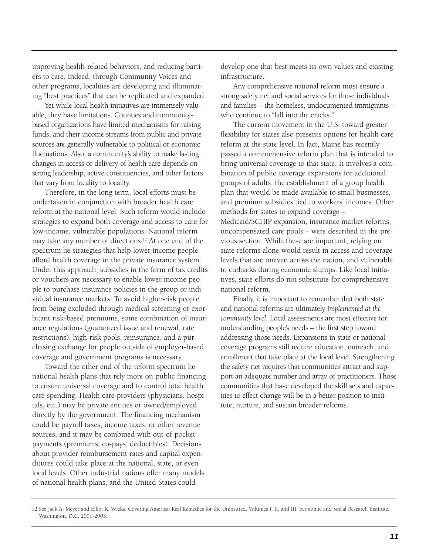improving health-related behaviors, and reducing barriers to care. Indeed, through Community Voices and other programs, localities are developing and illuminating "best practices" that can be replicated and expanded.

Yet while local health initiatives are immensely valuable, they have limitations. Counties and communitybased organizations have limited mechanisms for raising funds, and their income streams from public and private sources are generally vulnerable to political or economic fluctuations. Also, a community's ability to make lasting changes in access or delivery of health care depends on strong leadership, active constituencies, and other factors that vary from locality to locality.

Therefore, in the long term, local efforts must be undertaken in conjunction with broader health care reform at the national level. Such reform would include strategies to expand both coverage and access to care for low-income, vulnerable populations. National reform may take any number of directions.<sup>12</sup> At one end of the spectrum lie strategies that help lower-income people afford health coverage in the private insurance system. Under this approach, subsidies in the form of tax credits or vouchers are necessary to enable lower-income people to purchase insurance policies in the group or individual insurance markets. To avoid higher-risk people from being excluded through medical screening or exorbitant risk-based premiums, some combination of insurance regulations (guaranteed issue and renewal, rate restrictions), high-risk pools, reinsurance, and a purchasing exchange for people outside of employer-based coverage and government programs is necessary.

Toward the other end of the reform spectrum lie national health plans that rely more on public financing to ensure universal coverage and to control total health care spending. Health care providers (physicians, hospitals, etc.) may be private entities or owned/employed directly by the government. The financing mechanism could be payroll taxes, income taxes, or other revenue sources, and it may be combined with out-of-pocket payments (premiums, co-pays, deductibles). Decisions about provider reimbursement rates and capital expenditures could take place at the national, state, or even local levels. Other industrial nations offer many models of national health plans, and the United States could

develop one that best meets its own values and existing infrastructure.

Any comprehensive national reform must ensure a strong safety net and social services for those individuals and families – the homeless, undocumented immigrants – who continue to "fall into the cracks."

The current movement in the U.S. toward greater flexibility for states also presents options for health care reform at the state level. In fact, Maine has recently passed a comprehensive reform plan that is intended to bring universal coverage to that state. It involves a combination of public coverage expansions for additional groups of adults, the establishment of a group health plan that would be made available to small businesses, and premium subsidies tied to workers' incomes. Other methods for states to expand coverage – Medicaid/SCHIP expansion, insurance market reforms, uncompensated care pools – were described in the previous section. While these are important, relying on state reforms alone would result in access and coverage levels that are uneven across the nation, and vulnerable to cutbacks during economic slumps. Like local initiatives, state efforts do not substitute for comprehensive national reform.

Finally, it is important to remember that both state and national reforms are ultimately *implemented at the community level.* Local assessments are most effective for understanding people's needs – the first step toward addressing those needs. Expansions in state or national coverage programs still require education, outreach, and enrollment that take place at the local level. Strengthening the safety net requires that communities attract and support an adequate number and array of practitioners. Those communities that have developed the skill sets and capacities to effect change will be in a better position to institute, nurture, and sustain broader reforms.

<sup>12</sup> See Jack A. Meyer and Elliot K. Wicks. Covering America: Real Remedies for the Uninsured. Volumes I, II, and III. Economic and Social Research Institute. Washington, D.C. 2001-2003.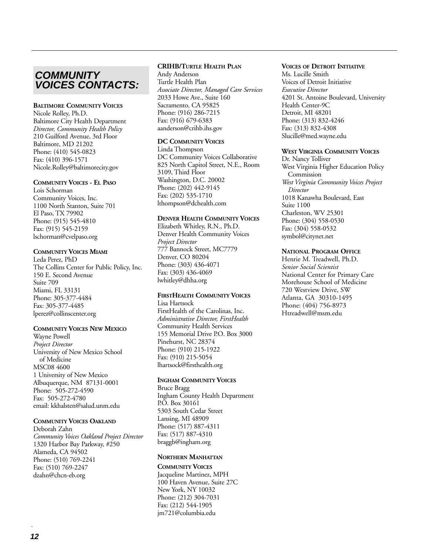# **COMMUNITY VOICES CONTACTS:**

#### **BALTIMORE COMMUNITY VOICES**

Nicole Rolley, Ph.D. Baltimore City Health Department *Director, Community Health Policy* 210 Guilford Avenue, 3rd Floor Baltimore, MD 21202 Phone: (410) 545-0823 Fax: (410) 396-1571 Nicole.Rolley@baltimorecity.gov

#### **COMMUNITY VOICES - EL PASO**

Lois Schorman Community Voices, Inc. 1100 North Stanton, Suite 701 El Paso, TX 79902 Phone: (915) 545-4810 Fax: (915) 545-2159 lschorman@cvelpaso.org

#### **COMMUNITY VOICES MIAMI**

Leda Perez, PhD The Collins Center for Public Policy, Inc. 150 E. Second Avenue Suite 709 Miami, FL 33131 Phone: 305-377-4484 Fax: 305-377-4485 lperez@collinscenter.org

#### **COMMUNITY VOICES NEW MEXICO**

Wayne Powell *Project Director* University of New Mexico School of Medicine MSC08 4600 1 University of New Mexico Albuquerque, NM 87131-0001 Phone: 505-272-4590 Fax: 505-272-4780 email: kkhalsten@salud.unm.edu

#### **COMMUNITY VOICES OAKLAND**

Deborah Zahn *Community Voices Oakland Project Director* 1320 Harbor Bay Parkway, #250 Alameda, CA 94502 Phone: (510) 769-2241 Fax: (510) 769-2247 dzahn@chcn-eb.org

#### **CRIHB/TURTLE HEALTH PLAN**

Andy Anderson Turtle Health Plan *Associate Director, Managed Care Services* 2033 Howe Ave., Suite 160 Sacramento, CA 95825 Phone: (916) 286-7215 Fax: (916) 679-6383 aanderson@crihb.ihs.gov

#### **DC COMMUNITY VOICES**

Linda Thompson DC Community Voices Collaborative 825 North Capitol Street, N.E., Room 3109, Third Floor Washington, D.C. 20002 Phone: (202) 442-9145 Fax: (202) 535-1710 lthompson@dchealth.com

#### **DENVER HEALTH COMMUNITY VOICES**

Elizabeth Whitley, R.N., Ph.D. Denver Health Community Voices *Project Director* 777 Bannock Street, MC7779 Denver, CO 80204 Phone: (303) 436-4071 Fax: (303) 436-4069 lwhitley@dhha.org

#### **FIRSTHEALTH COMMUNITY VOICES**

Lisa Hartsock FirstHealth of the Carolinas, Inc. *Administrative Director, FirstHealth* Community Health Services 155 Memorial Drive P.O. Box 3000 Pinehurst, NC 28374 Phone: (910) 215-1922 Fax: (910) 215-5054 lhartsock@firsthealth.org

#### **INGHAM COMMUNITY VOICES**

Bruce Bragg Ingham County Health Department P.O. Box 30161 5303 South Cedar Street Lansing, MI 48909 Phone: (517) 887-4311 Fax: (517) 887-4310 braggb@ingham.org

#### **NORTHERN MANHATTAN**

**COMMUNITY VOICES** Jacqueline Martinez, MPH 100 Haven Avenue, Suite 27C New York, NY 10032 Phone: (212) 304-7031 Fax: (212) 544-1905 jm721@columbia.edu

#### **VOICES OF DETROIT INITIATIVE**

Ms. Lucille Smith Voices of Detroit Initiative *Executive Director* 4201 St. Antoine Boulevard, University Health Center-9C Detroit, MI 48201 Phone: (313) 832-4246 Fax: (313) 832-4308 Slucille@med.wayne.edu

#### **WEST VIRGINIA COMMUNITY VOICES**

Dr. Nancy Tolliver West Virginia Higher Education Policy Commission *West Virginia Community Voices Project Director* 1018 Kanawha Boulevard, East Suite 1100 Charleston, WV 25301 Phone: (304) 558-0530 Fax: (304) 558-0532 symbol@citynet.net

#### **NATIONAL PROGRAM OFFICE**

Henrie M. Treadwell, Ph.D. *Senior Social Scientist* National Center for Primary Care Morehouse School of Medicine 720 Westview Drive, SW Atlanta, GA 30310-1495 Phone: (404) 756-8973 Htreadwell@msm.edu